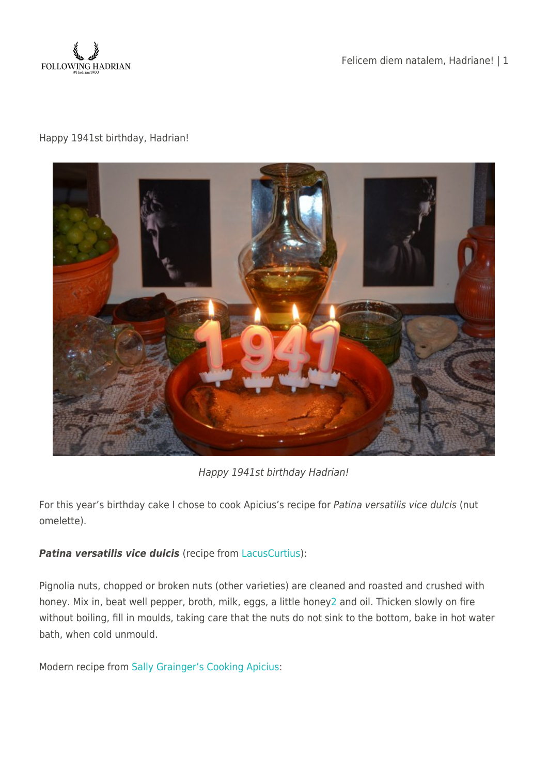

Felicem diem natalem, Hadriane! | 1

## Happy 1941st birthday, Hadrian!



Happy 1941st birthday Hadrian!

For this year's birthday cake I chose to cook Apicius's recipe for Patina versatilis vice dulcis (nut omelette).

## **Patina versatilis vice dulcis** (recipe from [LacusCurtius](http://penelope.uchicago.edu/Thayer/E/Roman/Texts/Apicius/4*.html#143)):

Pignolia nuts, chopped or broken nuts (other varieties) are cleaned and roasted and crushed with honey. Mix in, beat well pepper, broth, milk, eggs, a little honey[2](http://penelope.uchicago.edu/Thayer/E/Roman/Texts/Apicius/4*.html#143note2) and oil. Thicken slowly on fire without boiling, fill in moulds, taking care that the nuts do not sink to the bottom, bake in hot water bath, when cold unmould.

Modern recipe from [Sally Grainger's Cooking Apicius](https://www.amazon.com/Cooking-Apicius-Marcus-Gavius/dp/1903018447):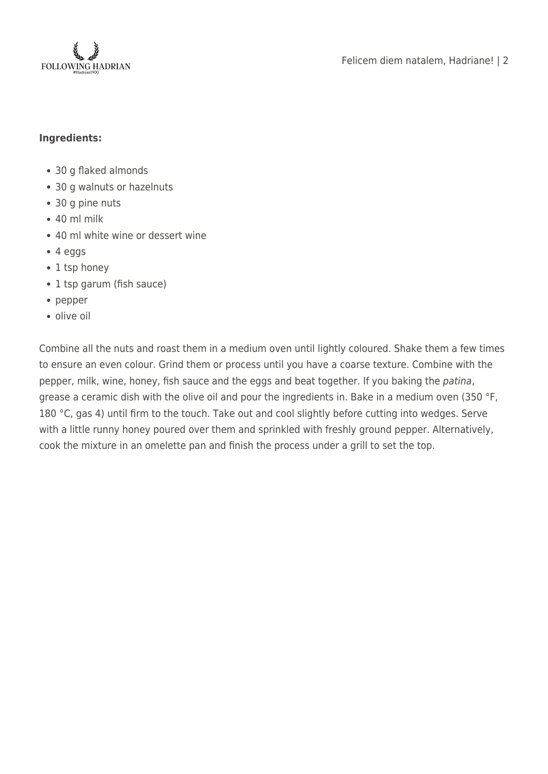

## **Ingredients:**

- 30 g flaked almonds
- 30 g walnuts or hazelnuts
- 30 g pine nuts
- $\cdot$  40 ml milk
- 40 ml white wine or dessert wine
- 4 eggs
- 1 tsp honey
- 1 tsp garum (fish sauce)
- pepper
- olive oil

Combine all the nuts and roast them in a medium oven until lightly coloured. Shake them a few times to ensure an even colour. Grind them or process until you have a coarse texture. Combine with the pepper, milk, wine, honey, fish sauce and the eggs and beat together. If you baking the patina, grease a ceramic dish with the olive oil and pour the ingredients in. Bake in a medium oven (350 °F, 180 °C, gas 4) until firm to the touch. Take out and cool slightly before cutting into wedges. Serve with a little runny honey poured over them and sprinkled with freshly ground pepper. Alternatively, cook the mixture in an omelette pan and finish the process under a grill to set the top.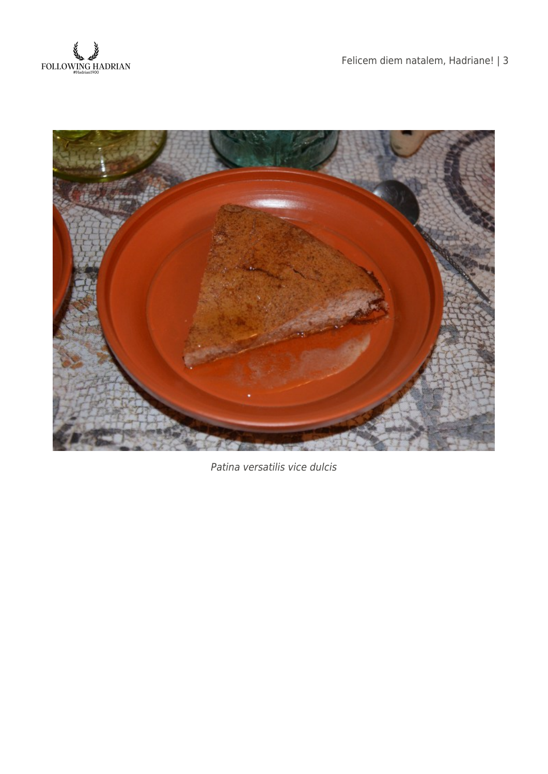



Patina versatilis vice dulcis